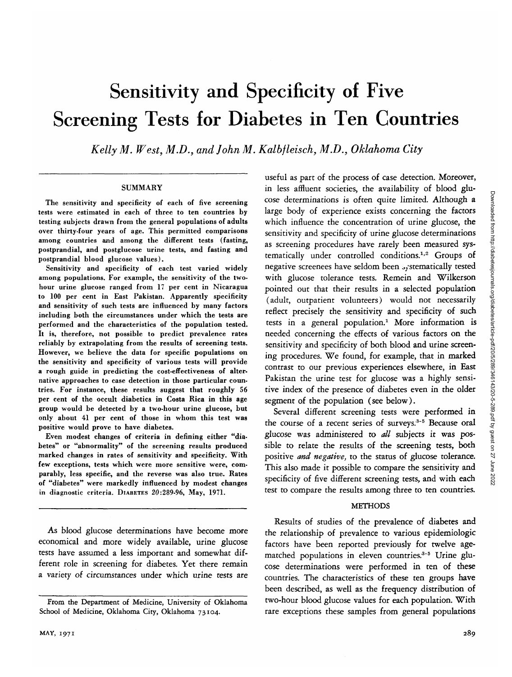# Sensitivity and Specificity of Five Screening Tests for Diabetes in Ten Countries

*Kelly M. West, M.D., and John M. Kalbfleisch, M.D., Oklahoma City*

#### **SUMMARY**

The sensitivity and specificity of each of five screening tests were estimated in each of three to ten countries by testing subjects drawn from the general populations of adults over thirty-four years of age. This permitted comparisons among countries and among the different tests (fasting, postprandial, and postglucose urine tests, and fasting and postprandial blood glucose values).

Sensitivity and specificity of each test varied widely among populations. For example, the sensitivity of the twohour urine glucose ranged from 17 per cent in Nicaragua to 100 per cent in East Pakistan. Apparently specificity and sensitivity of such tests are influenced by many factors including both the circumstances under which the tests are performed and the characteristics of the population tested. It is, therefore, not possible to predict prevalence rates reliably by extrapolating from the results of screening tests. However, we believe the data for specific populations on the sensitivity and specificity of various tests will provide a rough guide in predicting the cost-effectiveness of alternative approaches to case detection in those particular countries. For instance, these results suggest that roughly 56 per cent of the occult diabetics in Costa Rica in this age group would be detected by a two-hour urine glucose, but only about 41 per cent of those in whom this test was positive would prove to have diabetes.

Even modest changes of criteria in defining either "diabetes" or "abnormality" of the screening results produced marked changes in rates of sensitivity and specificity. With few exceptions, tests which were more sensitive were, comparably, less specific, and the reverse was also true. Rates of "diabetes" were markedly influenced by modest changes in diagnostic criteria. DIABETES 20:289-96, May, 1971.

As blood glucose determinations have become more economical and more widely available, urine glucose tests have assumed a less important and somewhat different role in screening for diabetes. Yet there remain a variety of circumstances under which urine tests are useful as part of the process of case detection. Moreover, in less affluent societies, the availability of blood glucose determinations is often quite limited. Although a large body of experience exists concerning the factors which influence the concentration of urine glucose, the sensitivity and specificity of urine glucose determinations as screening procedures have rarely been measured systematically under controlled conditions.<sup>1,2</sup> Groups of negative screenees have seldom been systematically tested with glucose tolerance tests. Remein and Wilkerson pointed out that their results in a selected population (adult, outpatient volunteers) would not necessarily reflect precisely the sensitivity and specificity of such tests in a general population.<sup>1</sup> More information is needed concerning the effects of various factors on the sensitivity and specificity of both blood and urine screening procedures. We found, for example, that in marked contrast to our previous experiences elsewhere, in East Pakistan the urine test for glucose was a highly sensitive index of the presence of diabetes even in the older segment of the population (see below).

Several different screening tests were performed in the course of a recent series of surveys.<sup>3-5</sup> Because oral glucose was administered to *all* subjects it was possible to relate the results of the screening tests, both positive *and negative,* to the status of glucose tolerance. This also made it possible to compare the sensitivity and specificity of five different screening tests, and with each test to compare the results among three to ten countries.

#### **METHODS**

Results of studies of the prevalence of diabetes and the relationship of prevalence to various epidemiologic factors have been reported previously for twelve agematched populations in eleven countries.<sup>3-5</sup> Urine glucose determinations were performed in ten of these countries. The characteristics of these ten groups have been described, as well as the frequency distribution of two-hour blood glucose values for each population. With rare exceptions these samples from general populations

From the Department of Medicine, University of Oklahoma School of Medicine, Oklahoma City, Oklahoma 73104.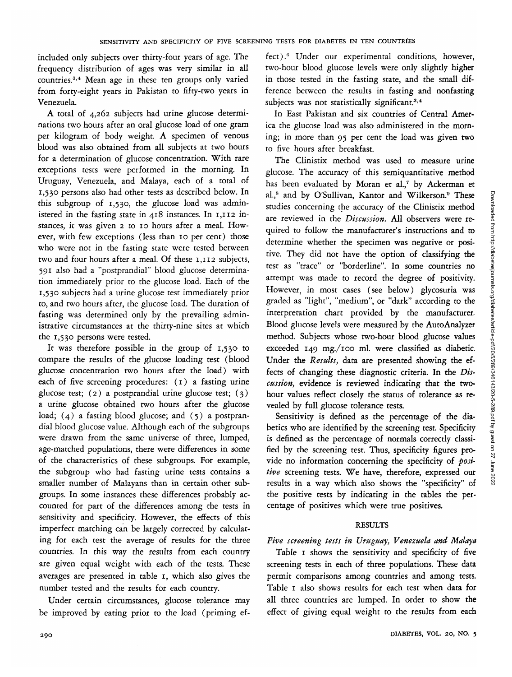included only subjects over thirty-four years of age. The frequency distribution of ages was very similar in all countries.3 - 4 Mean age in these ten groups only varied from forty-eight years in Pakistan to fifty-two years in Venezuela.

A total of 4,262 subjects had urine glucose determinations two hours after an oral glucose load of one gram per kilogram of body weight. A specimen of venous blood was also obtained from all subjects at two hours for a determination of glucose concentration. With rare exceptions tests were performed in the morning. In Uruguay, Venezuela, and Malaya, each of a total of 1,530 persons also had other tests as described below. In this subgroup of 1,530, the glucose load was administered in the fasting state in 418 instances. In 1,112 instances, it was given 2 to 10 hours after a meal. However, with few exceptions (less than 10 per cent) those who were not in the fasting state were tested between two and four hours after a meal. Of these 1,112 subjects, 591 also had a "postprandial" blood glucose determination immediately prior to the glucose load. Each of the 1,530 subjects had a urine glucose test immediately prior to, and two hours after, the glucose load. The duration of fasting was determined only by the prevailing administrative circumstances at the thirty-nine sites at which the 1,530 persons were tested.

It was therefore possible in the group of 1,530 to compare the results of the glucose loading test (blood glucose concentration two hours after the load) with each of five screening procedures: (1) a fasting urine glucose test; (2) a postprandial urine glucose test; (3) a urine glucose obtained two hours after the glucose load; (4) a fasting blood glucose; and (5) a postprandial blood glucose value. Although each of the subgroups were drawn from the same universe of three, lumped, age-matched populations, there were differences in some of the characteristics of these subgroups. For example, the subgroup who had fasting urine tests contains a smaller number of Malayans than in certain other subgroups. In some instances these differences probably accounted for part of the differences among the tests in sensitivity and specificity. However, the effects of this imperfect matching can be largely corrected by calculating for each test the average of results for the three countries. In this way the results from each country are given equal weight with each of the tests. These averages are presented in table 1, which also gives the number tested and the results for each country.

Under certain circumstances, glucose tolerance may be improved by eating prior to the load (priming ef-

fect).<sup>6</sup> Under our experimental conditions, however, two-hour blood glucose levels were only slightly higher in those tested in the fasting state, and the small difference between the results in fasting and nonfasting subjects was not statistically significant.<sup>3,4</sup>

In East Pakistan and six countries of Central America the glucose load was also administered in the morning; in more than 95 per cent the load was given two to five hours after breakfast.

The Clinistix method was used to measure urine glucose. The accuracy of this semiquantitative method has been evaluated by Moran et al.,<sup>7</sup> by Ackerman et al.,<sup>8</sup> and by O'Sullivan, Kantor and Wilkerson.<sup>9</sup> These studies concerning the accuracy of the Clinistix method are reviewed in the *Discussion.* All observers were required to follow the manufacturer's instructions and to determine whether the specimen was negative or positive. They did not have the option of classifying the test as "trace" or "borderline". In some countries no attempt was made to record the degree of positivity. However, in most cases (see below) glycosuria was graded as "light", "medium", or "dark" according to the interpretation chart provided by the manufacturer. Blood glucose levels were measured by the AutoAnalyzer method. Subjects whose two-hour blood glucose values exceeded 149 mg./ioo ml. were classified as diabetic. Under the *Results,* data are presented showing the effects of changing these diagnostic criteria. In the *Discussion,* evidence is reviewed indicating that the twohour values reflect closely the status of tolerance as revealed by full glucose tolerance tests.

Sensitivity is defined as the percentage of the diabetics who are identified by the screening test. Specificity is defined as the percentage of normals correctly classified by the screening test. Thus, specificity figures provide no information concerning the specificity of *positive* screening tests. We have, therefore, expressed our results in a way which also shows the "specificity" of the positive tests by indicating in the tables the percentage of positives which were true positives.

## **RESULTS**

*Five screening tests in Uruguay, Venezuela and Malaya*

Table I shows the sensitivity and specificity of five screening tests in each of three populations. These data permit comparisons among countries and among tests. Table 1 also shows results for each test when data for all three countries are lumped. In order to show the effect of giving equal weight to the results from each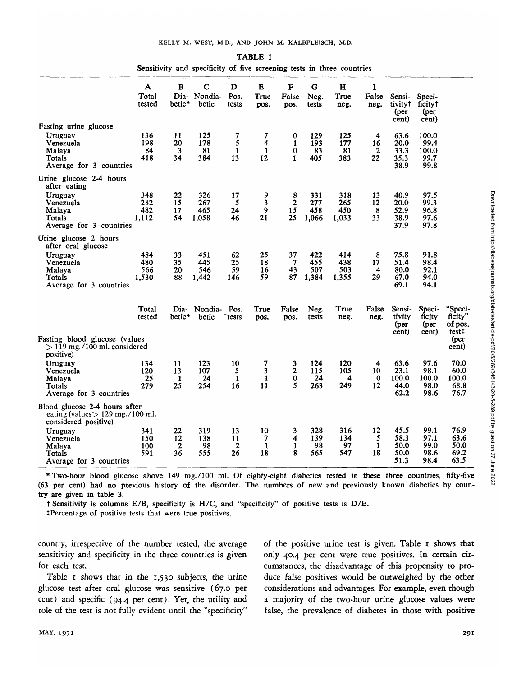Sensitivity and specificity of five screening tests in three countries

| Fasting urine glucose                                                                                                                                              | $\mathbf{A}$<br>Total<br>tested | $\bf{B}$<br>betic*               | $\mathbf C$<br>Dia- Nondia-<br>betic | D<br>Pos.<br>tests             | $\bf E$<br>True<br>pos.      | F<br>False<br>pos.                                   | G<br>Neg.<br>tests         | H<br>True<br>neg.          | $\mathbf{I}$<br>False<br>neg.   | Sensi-<br>tivity†<br>(per<br>cent)    | Speci-<br>ficity†<br>(per<br>cent)     |                                                         |
|--------------------------------------------------------------------------------------------------------------------------------------------------------------------|---------------------------------|----------------------------------|--------------------------------------|--------------------------------|------------------------------|------------------------------------------------------|----------------------------|----------------------------|---------------------------------|---------------------------------------|----------------------------------------|---------------------------------------------------------|
| Uruguay<br>Venezuela<br>Malaya<br>Totals<br>Average for 3 countries                                                                                                | 136<br>198<br>84<br>418         | 11<br>20<br>3<br>34              | 125<br>178<br>81<br>384              | 7<br>5<br>1<br>13              | 7<br>4<br>$\mathbf{1}$<br>12 | $\bf{0}$<br>$\mathbf{1}$<br>$\bf{0}$<br>$\mathbf{1}$ | 129<br>193<br>83<br>405    | 125<br>177<br>81<br>383    | 4<br>16<br>$\overline{2}$<br>22 | 63.6<br>20.0<br>33.3<br>35.3<br>38.9  | 100.0<br>99.4<br>100.0<br>99.7<br>99.8 |                                                         |
| Urine glucose 2-4 hours<br>after eating<br>Uruguay<br>Venezuela<br>Malaya<br>Totals<br>Average for 3 countries                                                     | 348<br>282<br>482<br>1.112      | 22<br>15<br>17<br>54             | 326<br>267<br>465<br>1,058           | 17<br>5<br>24<br>46            | 9<br>3<br>9<br>21            | 8<br>$\mathbf{2}$<br>15<br>25                        | 331<br>277<br>458<br>1,066 | 318<br>265<br>450<br>1,033 | 13<br>12<br>8<br>33             | 40.9<br>20.0<br>52.9<br>38.9<br>37.9  | 97.5<br>99.3<br>96.8<br>97.6<br>97.8   |                                                         |
| Urine glucose 2 hours<br>after oral glucose<br>Uruguay<br>Venezuela<br>Malava<br>Totals<br>Average for 3 countries                                                 | 484<br>480<br>566<br>1.530      | 33<br>35<br>20<br>88             | 451<br>445<br>546<br>1,442           | 62<br>25<br>59<br>146          | 25<br>18<br>16<br>59         | 37<br>7<br>43<br>87                                  | 422<br>455<br>507<br>1,384 | 414<br>438<br>503<br>1.355 | 8<br>17<br>4<br>29              | 75.8<br>51.4<br>80.0<br>67.0<br>69.1  | 91.8<br>98.4<br>92.1<br>94.0<br>94.1   |                                                         |
| Fasting blood glucose (values<br>$>$ 119 mg./100 ml. considered                                                                                                    | Total<br>tested                 | Dia-<br>betic*                   | Nondia-Pos.<br>betic                 | tests                          | True<br>pos.                 | False<br>pos.                                        | Neg.<br>tests              | True<br>neg.               | False<br>neg.                   | Sensi-<br>tivity<br>(per<br>cent)     | Speci-<br>ficity<br>(per<br>cent)      | "Speci-<br>ficity"<br>of pos.<br>test‡<br>(per<br>cent) |
| positive)<br>Uruguay<br>Venezuela<br>Malava<br>Totals<br>Average for 3 countries                                                                                   | 134<br>120<br>25<br>279         | 11<br>13<br>-1<br>25             | 123<br>107<br>24<br>254              | 10<br>5<br>1<br>16             | 7<br>3<br>$\mathbf{1}$<br>11 | 3<br>$\mathbf{2}$<br>$\bf{0}$<br>5                   | 124<br>115<br>24<br>263    | 120<br>105<br>4<br>249     | 4<br>10<br>$\mathbf{0}$<br>12   | 63.6<br>23.1<br>100.0<br>44.0<br>62.2 | 97.6<br>98.1<br>100.0<br>98.0<br>98.6  | 70.0<br>60.0<br>100.0<br>68.8<br>76.7                   |
| Blood glucose 2-4 hours after<br>eating (values $> 129$ mg./100 ml.<br>considered positive)<br>Uruguay<br>Venezuela<br>Malaya<br>Totals<br>Average for 3 countries | 341<br>150<br>100<br>591        | 22<br>12<br>$\overline{2}$<br>36 | 319<br>138<br>98<br>555              | 13<br>11<br>$\mathbf{2}$<br>26 | 10<br>7<br>1<br>18           | 3<br>4<br>$\mathbf{1}$<br>8                          | 328<br>139<br>98<br>565    | 316<br>134<br>97<br>547    | 12<br>5<br>$\mathbf{1}$<br>18   | 45.5<br>58.3<br>50.0<br>50.0<br>51.3  | 99.1<br>97.1<br>99.0<br>98.6<br>98.4   | 76.9<br>63.6<br>50.0<br>69.2<br>63.5                    |

\* Two-hour blood glucose above 149 mg./lOO ml. Of eighty-eight diabetics tested in these three countries, fifty-five (63 per cent) had no previous history of the disorder. The numbers of new and previously known diabetics by country are given in table 3.

t Sensitivity is columns E/B, specificity is H/C, and "specificity" of positive tests is D/E.

t Percentage of positive tests that were true positives.

country, irrespective of the number tested, the average sensitivity and specificity in the three countries is given for each test.

Table I shows that in the 1,530 subjects, the urine glucose test after oral glucose was sensitive (67.0 per cent) and specific (94.4 per cent). Yet, the utility and role of the test is not fully evident until the "specificity" of the positive urine test is given. Table 1 shows that only 40.4 per cent were true positives. In certain circumstances, the disadvantage of this propensity to produce false positives would be outweighed by the other considerations and advantages. For example, even though a majority of the two-hour urine glucose values were false, the prevalence of diabetes in those with positive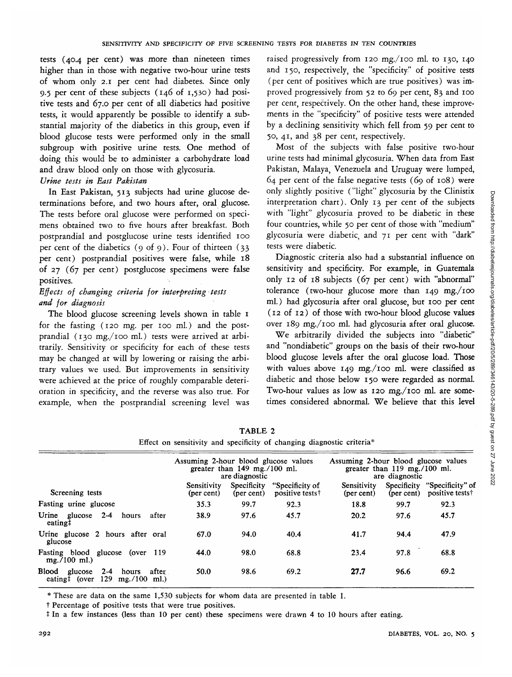tests (40.4 per cent) was more than nineteen times higher than in those with negative two-hour urine tests of whom only 2.1 per cent had diabetes. Since only 9.5 per cent of these subjects (146 of 1,530) had positive tests and 67.0 per cent of all diabetics had positive tests, it would apparently be possible to identify a substantial majority of the diabetics in this group, even if blood glucose tests were performed only in the small subgroup with positive urine tests. One method of doing this would be to administer a carbohydrate load and draw blood only on those with glycosuria.

# *Urine tests in East Pakistan*

In East Pakistan, 513 subjects had urine glucose determinations before, and two hours after, oral glucose. The tests before oral glucose were performed on specimens obtained two to five hours after breakfast. Both postprandial and postglucose urine tests identified 100 per cent of the diabetics (9 of 9). Four of thirteen (33 per cent) postprandial positives were false, while 18 of 27 (67 per cent) postglucose specimens were false positives.

# *Effects of changing criteria for interpreting tests and for diagnosis*

The blood glucose screening levels shown in table I for the fasting (120 mg. per 100 ml.) and the postprandial (130 mg./ioo ml.) tests were arrived at arbitrarily. Sensitivity or specificity for each of these tests may be changed at will by lowering or raising the arbitrary values we used. But improvements in sensitivity were achieved at the price of roughly comparable deterioration in specificity, and the reverse was also true. For example, when the postprandial screening level was raised progressively from 120 mg./ioo ml. to 130, 140 and 150, respectively, the "specificity." of positive tests (per cent of positives which are true positives) was improved progressively from 52 to 69 per cent, 83 and 100 per cent, respectively. On the other hand, these improvements in the "specificity" of positive tests were attended by a declining sensitivity which fell from 59 per cent to 50, 41, and 38 per cent, respectively.

Most of the subjects with false positive two-hour urine tests had minimal glycosuria. When data from East Pakistan, Malaya, Venezuela and Uruguay were lumped, 64 per cent of the false negative tests (69 of 108) were only slightly positive ("light" glycosuria by the Clinistix interpretation chart). Only 13 per cent of the subjects with "light" glycosuria proved to be diabetic in these four countries, while 50 per cent of those with "medium" glycosuria were diabetic, and 71 per cent with "dark" tests were diabetic.

Diagnostic criteria also had a substantial influence on sensitivity and specificity. For example, in Guatemala only 12 of 18 subjects (67 per cent) with "abnormal" tolerance (two-hour glucose more than 149 mg./ioo ml.) had glycosuria after oral glucose, but 100 per cent (12 of 12) of those with two-hour blood glucose values over 189 mg./ioo ml. had glycosuria after oral glucose.

We arbitrarily divided the subjects into "diabetic" and "nondiabetic" groups on the basis of their two-hour blood glucose levels after the oral glucose load. Those with values above 149 mg./100 ml. were classified as diabetic and those below 150 were regarded as normal. Two-hour values as low as 120 mg./ioo ml. are sometimes considered abnormal. We believe that this level

|                                                                      |                                      |                                                           | Effect on sensitivity and specificity of enanging diagnostic criteria |                                                                                                    |            |                                                             |  |
|----------------------------------------------------------------------|--------------------------------------|-----------------------------------------------------------|-----------------------------------------------------------------------|----------------------------------------------------------------------------------------------------|------------|-------------------------------------------------------------|--|
|                                                                      | Assuming 2-hour blood glucose values | greater than $149 \text{ mg}$ ./100 ml.<br>are diagnostic |                                                                       | Assuming 2-hour blood glucose values<br>greater than $119 \text{ mg}$ , /100 ml.<br>are diagnostic |            |                                                             |  |
| Screening tests                                                      | Sensitivity<br>(per cent)            | Specificity<br>(per cent)                                 | "Specificity of<br>positive tests <sup>†</sup>                        | Sensitivity<br>(per cent)                                                                          | (per cent) | Specificity "Specificity" of<br>positive tests <sup>†</sup> |  |
| Fasting urine glucose                                                | 35.3                                 | 99.7                                                      | 92.3                                                                  | 18.8                                                                                               | 99.7       | 92.3                                                        |  |
| Urine glucose 2-4 hours<br>after<br>eating#                          | 38.9                                 | 97.6                                                      | 45.7                                                                  | 20.2                                                                                               | 97.6       | 45.7                                                        |  |
| Urine glucose 2 hours after oral<br>glucose                          | 67.0                                 | 94.0                                                      | 40.4                                                                  | 41.7                                                                                               | 94.4       | 47.9                                                        |  |
| Fasting blood glucose (over 119<br>$mg. / 100$ ml.)                  | 44.0                                 | 98.0                                                      | 68.8                                                                  | 23.4                                                                                               | 97.8       | 68.8                                                        |  |
| Blood glucose 2-4 hours after<br>eating: (over 129<br>$mg./100$ ml.) | 50.0                                 | 98.6                                                      | 69.2                                                                  | 27.7                                                                                               | 96.6       | 69.2                                                        |  |

TABLE 2 Effect on sensitivity and specificity of changing diagnostic criteria\*

\* These are data on the same 1,530 subjects for whom data are presented in table 1.

t Percentage of positive tests that were true positives.

tin a few instances (less than 10 per cent) these specimens were drawn 4 to 10 hours after eating.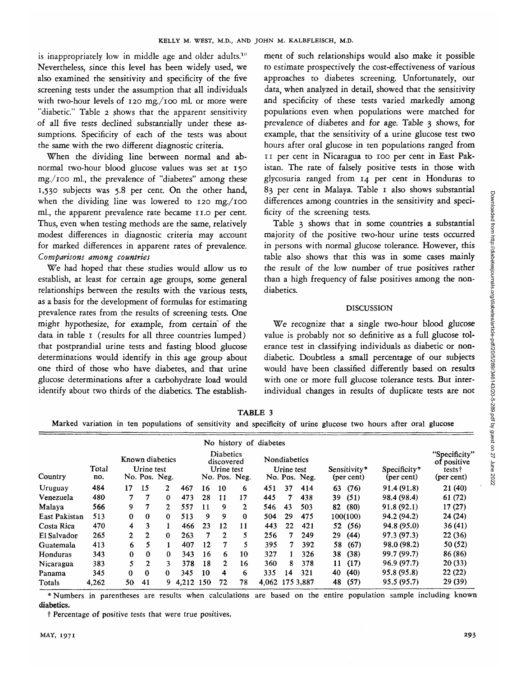is inappropriately low in middle age and older adults.<sup>10</sup> Nevertheless, since this level has been widely used, we also examined the sensitivity and specificity of the five screening tests under the assumption that all individuals with two-hour levels of 120 mg./ioo ml. or more were "diabetic." Table 2 shows that the apparent sensitivity of all five tests declined substantially under these assumptions. Specificity of each of the tests was about the same with the two different diagnostic criteria.

When the dividing line between normal and abnormal two-hour blood glucose values was set at 150 mg./ioo ml., the prevalence of "diabetes" among these 1,530 subjects was 5.8 per cent. On the other hand, when the dividing line was lowered to 120 mg./ioo ml., the apparent prevalence rate became 11.0 per cent. Thus, even when testing methods are the same, relatively modest differences in diagnostic criteria may account for marked differences in apparent rates of prevalence. *Comparisons among countries*

We had hoped that these studies would allow us to establish, at least for certain age groups, some general relationships between the results with the various tests, as a basis for the development of formulas for estimating prevalence rates from the results of screening tests. One might hypothesize, for example, from certain" of the data in table 1 (results for all three countries lumped) that postprandial urine tests and fasting blood glucose determinations would identify in this age group about one third of those who have diabetes, and that urine glucose determinations after a carbohydrate load would identify about two thirds of the diabetics. The establish-

> Known diabetics s Urine test No. Pos. Neg.

ment of such relationships would also make it possible to estimate prospectively the cost-effectiveness of various approaches to diabetes screening. Unfortunately, our data, when analyzed in detail, showed that the sensitivity and specificity of these tests varied markedly among populations even when populations were matched for prevalence of diabetes and for age. Table 3 shows, for example, that the sensitivity of a urine glucose test two hours after oral glucose in ten populations ranged from 11 per cent in Nicaragua to 100 per cent in East Pakistan. The rate of falsely positive tests in those with glycosuria ranged from 14 per cent in Honduras to 83 per cent in Malaya. Table 1 also shows substantial differences among countries in the sensitivity and specificity of the screening tests.

Table 3 shows that in some countries a substantial majority of the positive two-hour urine tests occurred in persons with normal glucose tolerance. However, this table also shows that this was in some cases mainly the result of the low number of true positives rather than a high frequency of false positives among the nondiabetics.

## DISCUSSION

We recognize that a single two-hour blood glucose value is probably not so definitive as a full glucose tolerance test in classifying individuals as diabetic or nondiabetic. Doubtless a small percentage of our subjects would have been classified differently based on results with one or more full glucose tolerance tests. But interindividual changes in results of duplicate tests are not

Specificity\* (per cent) 91.4(91.8) 98.4 (98.4) 91.8(92.1) 94.2 (94.2) 94.8 (95.0) 97.3 (97.3) 98.0(98.2) "Specificity"<br>of positive<br>tests† (per cent) 21 (40) 61 (72) 17 (27) 24 (24) 36(41) 22 (36) 50 (52)

|--|--|

Marked variation in ten populations of sensitivity and specificity of urine glucose two hours after oral glucose

Nondiabetics Urine test No. Pos. Neg.

Sensitivity\* (per cent) 63 (76) 39 (51) 82 (80) 100(100) 52 (56)

No history of diabetes

Diabetics discovered Urine test No. Pos. Neg.

| El Salvador | 265   |     |            | 263         |    |    |    | 256             |    | 249  | 29. | (44)    | 97.3 (97.3)                                                                                                     | 22(36)  |
|-------------|-------|-----|------------|-------------|----|----|----|-----------------|----|------|-----|---------|-----------------------------------------------------------------------------------------------------------------|---------|
| Guatemala   | 413   |     |            | 407         | 12 |    |    | 395             |    | 392  |     | 58 (67) | 98.0 (98.2)                                                                                                     | 50 (52) |
| Honduras    | 343   |     | $^{\circ}$ | 343.        | 16 |    | 10 | 327             |    | 326  |     | 38 (38) | 99.7 (99.7)                                                                                                     | 86 (86) |
| Nicaragua   | 383   |     |            | 378         | 18 |    | 16 | 360.            | 8  | 378  |     | 11(17)  | 96.9 (97.7)                                                                                                     | 20(33)  |
| Panama      | 345   |     |            | 345         | 10 | 4  |    | 335             | 14 | -321 |     | 40 (40) | 95.8 (95.8)                                                                                                     | 22(22)  |
| Totals      | 4.262 | 50. | - 41       | 9 4.212 150 |    | 72 | 78 | 4.062 175 3.887 |    |      |     | 48 (57) | 95.5 (95.7)                                                                                                     | 29(39)  |
|             |       |     |            |             |    |    |    |                 |    |      |     |         | *Numbers in parentheses are results when calculations are based on the entire population sample including known |         |

diabetics.

**Country** Uruguay Venezuela Malaya East Pakistan Costa Rica

t Percentage of positive tests that were true positives.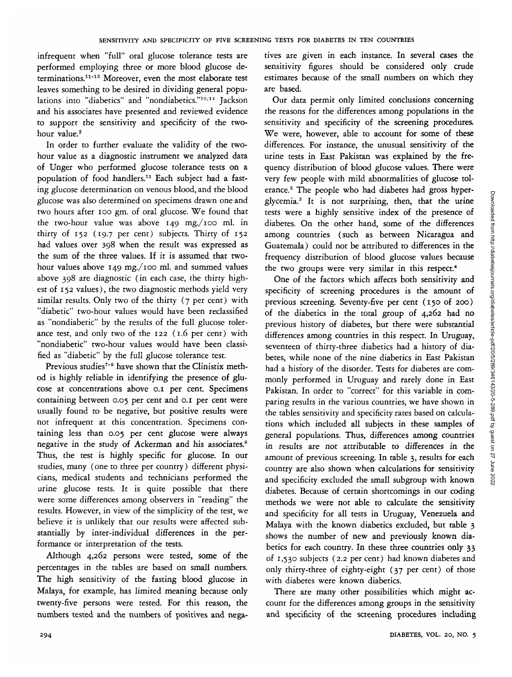infrequent when "full" oral glucose tolerance tests are performed employing three or more blood glucose determinations.<sup>11-13</sup> Moreover, even the most elaborate test leaves something to be desired in dividing general populations into "diabetics" and "nondiabetics."<sup>10,14</sup> Jackson and his associates have presented and reviewed evidence to support the sensitivity and specificity of the twohour value.<sup>2</sup>

In order to further evaluate the validity of the twohour value as a diagnostic instrument we analyzed data of Unger who performed glucose tolerance tests on a population of food handlers.<sup>11</sup> Each subject had a fasting glucose determination on venous blood, and the blood glucose was also determined on specimens drawn one and two hours after ioo gm. of oral glucose. We found that the two-hour value was above 149 mg./ioo ml. in thirty of 152 (19.7 per cent) subjects. Thirty of 152 had values over 398 when the result was expressed as the sum of the three values. If it is assumed that twohour values above 149 mg./ioo ml. and summed values above 398 are diagnostic (in each case, the thirty highest of 152 values), the two diagnostic methods yield very similar results. Only two of the thirty (7 per cent) with "diabetic" two-hour values would have been reclassified as "nondiabetic" by the results of the full glucose tolerance test, and only two of the 122 (1.6 per cent) with "nondiabetic" two-hour values would have been classified as "diabetic" by the full glucose tolerance test.

Previous studies<sup>7-9</sup> have shown that the Clinistix method is highly reliable in identifying the presence of glucose at concentrations above 0.1 per cent. Specimens containing between 0.05 per cent and 0.1 per cent were usually found to be negative, but positive results were not infrequent at this concentration. Specimens containing less than 0.05 per cent glucose were always negative in the study of Ackerman and his associates.8 Thus, the test is highly specific for glucose. In our studies, many (one to three per country) different physicians, medical students and technicians performed the urine glucose tests. It is quite possible that there were some differences among observers in "reading" the results. However, in view of the simplicity of the test, we believe it is unlikely that our results were affected substantially by inter-individual differences in the performance or interpretation of the tests.

Although 4,262 persons were tested, some of the percentages in the tables are based on small numbers. The high sensitivity of the fasting blood glucose in Malaya, for example, has limited meaning because only twenty-five persons were tested. For this reason, the numbers tested and the numbers of positives and nega-

tives are given in each instance. In several cases the sensitivity figures should be considered only crude estimates because of the small numbers on which they are based.

Our data permit only limited conclusions concerning the reasons for the differences among populations in the sensitivity and specificity of the screening procedures. We were, however, able to account for some of these differences. For instance, the unusual sensitivity of the urine tests in East Pakistan was explained by the frequency distribution of blood glucose values. There were very few people with mild abnormalities of glucose tolerance.3 The people who had diabetes had gross hyperglycemia.<sup>3</sup> It is not surprising, then, that the urine tests were a highly sensitive index of the presence of diabetes. On the other hand, some of the differences among countries (such as between Nicaragua and Guatemala) could not be attributed to differences in the frequency distribution of blood glucose values because the two groups were very similar in this respect.4

One of the factors which affects both sensitivity and specificity of screening procedures is the amount of previous screening. Seventy-five per cent (150 of 200) of the diabetics in the total group of 4,262 had no previous history of diabetes, but there were substantial differences among countries in this respect. In Uruguay, seventeen of thirty-three diabetics had a history of diabetes, while none of the nine diabetics in East Pakistan had a history of the disorder. Tests for diabetes are commonly performed in Uruguay and rarely done in East Pakistan. In order to "correct" for this variable in comparing results in the various countries, we have shown in the tables sensitivity and specificity rates based on calculations which included all subjects in these samples of general populations. Thus, differences among countries in results are not attributable to differences in the amount of previous screening. In table 3, results for each country are also shown when calculations for sensitivity and specificity excluded the small subgroup with known diabetes. Because of certain shortcomings in our coding methods we were not able to calculate the sensitivity and specificity for all tests in Uruguay, Venezuela and Malaya with the known diabetics excluded, but table 3 shows the number of new and previously known diabetics for each country. In these three countries only 33 of 1,530 subjects (2.2 per cent) had known diabetes and only thirty-three of eighty-eight (37 per cent) of those with diabetes were known diabetics.

There are many other possibilities which might account for the differences among groups in the sensitivity and specificity of the screening procedures including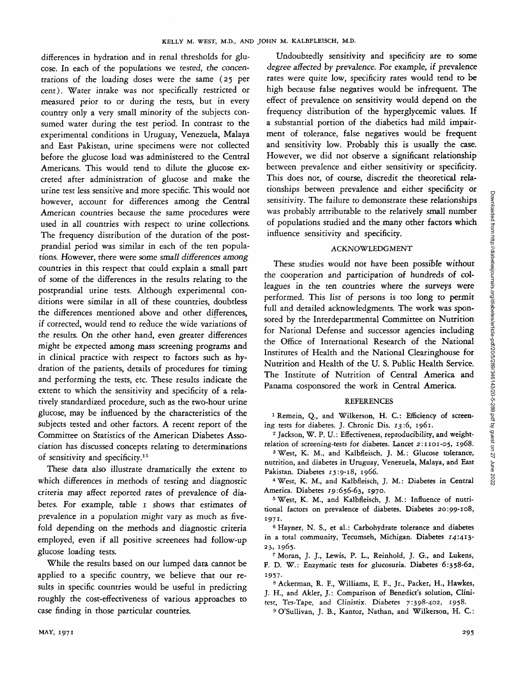differences in hydration and in renal thresholds for glucose. In each of the populations we tested, the concentrations of the loading doses were the same (25 per cent). Water intake was not specifically restricted or measured prior to or during the tests, but in every country only a very small minority of the subjects consumed water during the test period. In contrast to the experimental conditions in Uruguay, Venezuela, Malaya and East Pakistan, urine specimens were not collected before the glucose load was administered to the Central Americans. This would tend to dilute the glucose excreted after administration of glucose and make the urine test less sensitive and more specific. This would not however, account for differences among the Central American countries because the same procedures were used in all countries with respect to urine collections. The frequency distribution of the duration of the postprandial period was similar in each of the ten populations. However, there were some *small differences among* countries in this respect that could explain a small part of some of the differences in the results relating to the postprandial urine tests. Although experimental conditions were similar in all of these countries, doubtless the differences mentioned above and other differences, if corrected, would tend to reduce the wide variations of the results. On the other hand, even greater differences might be expected among mass screening programs and in clinical practice with respect to factors such as hydration of the patients, details of procedures for timing and performing the tests, etc. These results indicate the extent to which the sensitivity and specificity of a relatively standardized procedure, such as the two-hour urine glucose, may be influenced by the characteristics of the subjects tested and other factors. A recent report of the Committee on Statistics of the American Diabetes Association has discussed concepts relating to determinations of sensitivity and specificity.<sup>15</sup>

These data also illustrate dramatically the extent to which differences in methods of testing and diagnostic criteria may affect reported rates of prevalence of diabetes. For example, table I shows that estimates of prevalence in a population might vary as much as fivefold depending on the methods and diagnostic criteria employed, even if all positive screenees had follow-up glucose loading tests.

While the results based on our lumped data cannot be applied to a specific country, we believe that our results in specific countries would be useful in predicting roughly the cost-effectiveness of various approaches to case finding in those particular countries.

Undoubtedly sensitivity and specificity are to some degree affected by prevalence. For example, if prevalence rates were quite low, specificity rates would tend to be high because false negatives would be infrequent. The effect of prevalence on sensitivity would depend on the frequency distribution of the hyperglycemic values. If a substantial portion of the diabetics had mild impairment of tolerance, false negatives would be frequent and sensitivity low. Probably this is usually the case. However, we did not observe a significant relationship between prevalence and either sensitivity or specificity. This does not, of course, discredit the theoretical relationships between prevalence and either specificity or sensitivity. The failure to demonstrate these relationships was probably attributable to the relatively small number of populations studied and the many other factors which influence sensitivity and specificity.

## ACKNOWLEDGMENT

These studies would not have been possible without the cooperation and participation of hundreds of colleagues in the ten countries where the surveys were performed. This list of persons is too long to permit full and detailed acknowledgments. The work was sponsored by the Interdepartmental Committee on Nutrition for National Defense and successor agencies including the Office of International Research of the National Institutes of Health and the National Clearinghouse for Nutrition and Health of the U. S. Public Health Service. The Institute of Nutrition of Central America and Panama cosponsored the work in Central America.

#### REFERENCES

<sup>1</sup> Remein, Q., and Wilkerson, H. C.: Efficiency of screening tests for diabetes. J. Chronic Dis. *13:6,* 1961. <sup>2</sup>

<sup>2</sup> Jackson, W. P. U.: Effectiveness, reproducibility, and weightrelation of screening-tests for diabetes. Lancet 2:1101-05, 1968.

 West, K. M., and Kalbfleisch, J. M.: Glucose tolerance, nutrition, and diabetes in Uruguay, Venezuela, Malaya, and East Pakistan. Diabetes 15:9-18, 1966.

 West, K. M., and Kalbfleisch, J. M.: Diabetes in Central America. Diabetes 19:656-63, 1970.

 West, K. M., and Kalbfleisch, J. M.: Influence of nutritional factors on prevalence of diabetes. Diabetes 20:99-108, 1971. <sup>6</sup>

 Hayner, N. S., et al.: Carbohydrate tolerance and diabetes in a total community, Tecumseh, Michigan. Diabetes 14:413- 23, 1965. <sup>7</sup>

 Moran, J. J., Lewis, P. L., Reinhold, J. G., and Lukens, F. D. W.: Enzymatic tests for glucosuria. Diabetes 6:358-62, 1957.

 Ackerman, R. F., Williams, E. F., Jr., Packer, H., Hawkes, J. H., and Akler, J.: Comparison of Benedict's solution, Clini-

test, Tes-Tape, and Clinistix. Diabetes 7:398-402, 195<sup>s</sup> - <sup>9</sup> <sup>9</sup> O'Sullivan, J. B., Kantor, Nathan, and Wilkerson, H. C.: